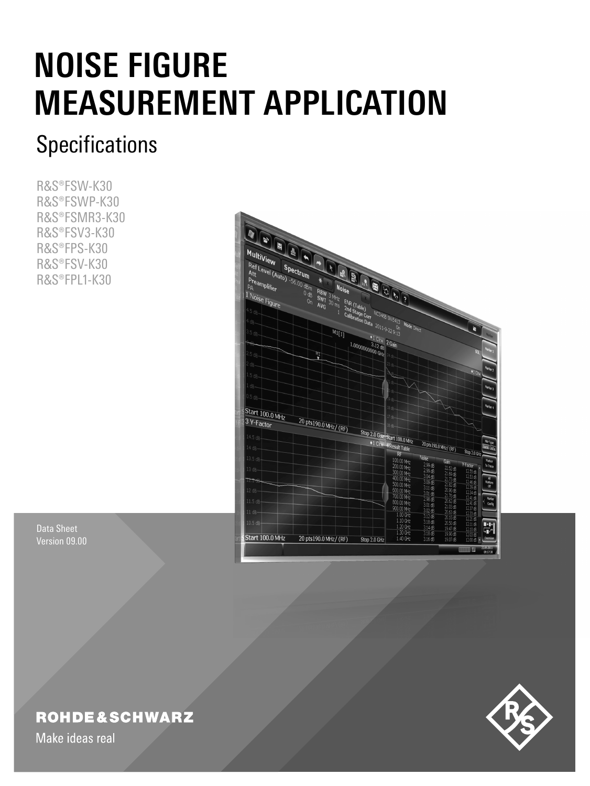# **NOISE FIGURE MEASUREMENT APPLICATION**

## **Specifications**

R&S®FSW-K30 R&S®FSWP-K30 R&S®FSMR3-K30 R&S®FSV3-K30 R&S®FPS-K30 R&S®FSV-K30 R&S®FPL1-K30



Data Sheet Version 09.00

## **ROHDE&SCHWARZ**

Make ideas real

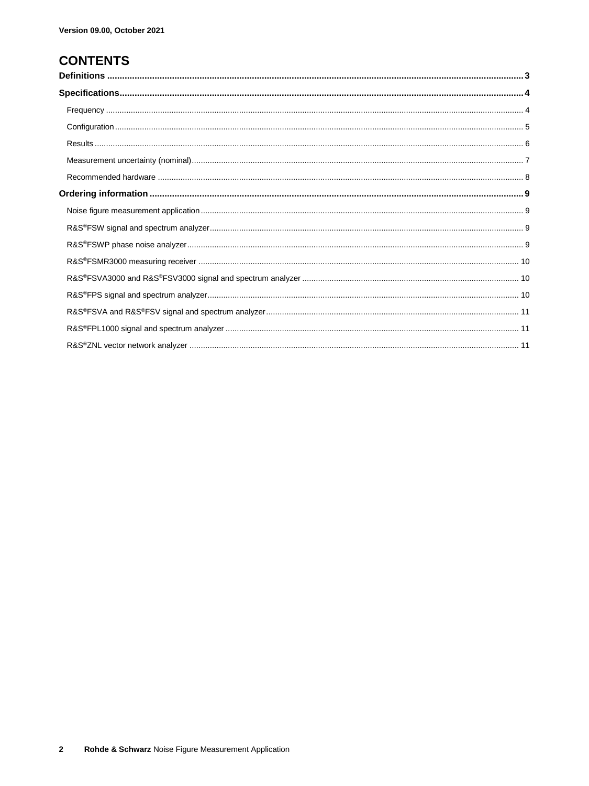## **CONTENTS**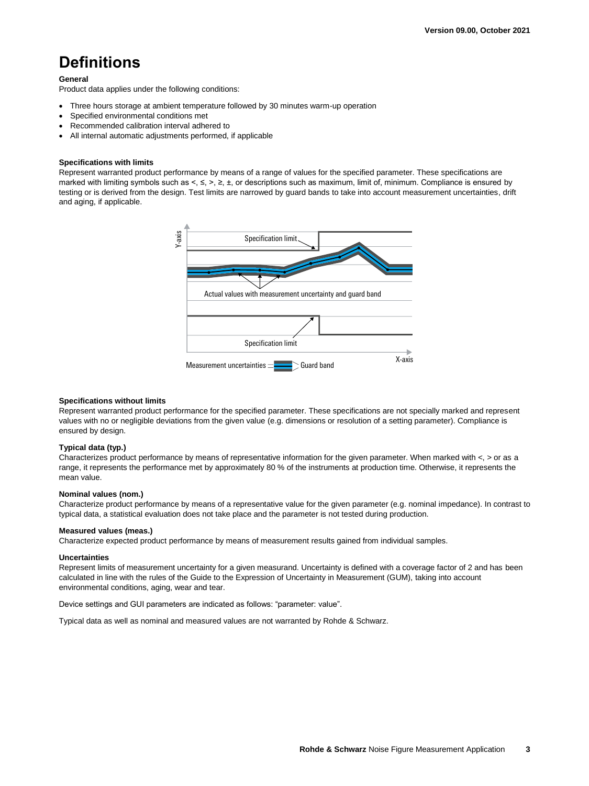## **Definitions**

#### **General**

Product data applies under the following conditions:

- Three hours storage at ambient temperature followed by 30 minutes warm-up operation
- Specified environmental conditions met
- Recommended calibration interval adhered to
- All internal automatic adjustments performed, if applicable

#### **Specifications with limits**

Represent warranted product performance by means of a range of values for the specified parameter. These specifications are marked with limiting symbols such as <, ≤, >, ≥, ±, or descriptions such as maximum, limit of, minimum. Compliance is ensured by testing or is derived from the design. Test limits are narrowed by guard bands to take into account measurement uncertainties, drift and aging, if applicable.



#### **Specifications without limits**

Represent warranted product performance for the specified parameter. These specifications are not specially marked and represent values with no or negligible deviations from the given value (e.g. dimensions or resolution of a setting parameter). Compliance is ensured by design.

#### **Typical data (typ.)**

Characterizes product performance by means of representative information for the given parameter. When marked with  $\lt$ ,  $>$  or as a range, it represents the performance met by approximately 80 % of the instruments at production time. Otherwise, it represents the mean value.

#### **Nominal values (nom.)**

Characterize product performance by means of a representative value for the given parameter (e.g. nominal impedance). In contrast to typical data, a statistical evaluation does not take place and the parameter is not tested during production.

#### **Measured values (meas.)**

Characterize expected product performance by means of measurement results gained from individual samples.

#### **Uncertainties**

Represent limits of measurement uncertainty for a given measurand. Uncertainty is defined with a coverage factor of 2 and has been calculated in line with the rules of the Guide to the Expression of Uncertainty in Measurement (GUM), taking into account environmental conditions, aging, wear and tear.

Device settings and GUI parameters are indicated as follows: "parameter: value".

Typical data as well as nominal and measured values are not warranted by Rohde & Schwarz.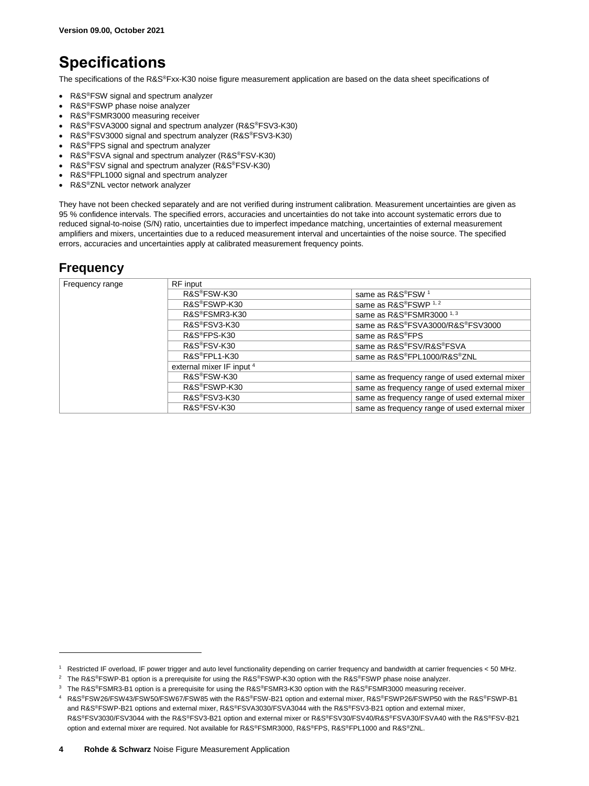## **Specifications**

The specifications of the R&S®Fxx-K30 noise figure measurement application are based on the data sheet specifications of

- R&S<sup>®</sup>FSW signal and spectrum analyzer
- R&S®FSWP phase noise analyzer
- R&S®FSMR3000 measuring receiver
- R&S®FSVA3000 signal and spectrum analyzer (R&S®FSV3-K30)
- R&S®FSV3000 signal and spectrum analyzer (R&S®FSV3-K30)
- R&S®FPS signal and spectrum analyzer
- R&S®FSVA signal and spectrum analyzer (R&S®FSV-K30)
- R&S®FSV signal and spectrum analyzer (R&S®FSV-K30)
- R&S®FPL1000 signal and spectrum analyzer
- R&S<sup>®</sup>ZNL vector network analyzer

They have not been checked separately and are not verified during instrument calibration. Measurement uncertainties are given as 95 % confidence intervals. The specified errors, accuracies and uncertainties do not take into account systematic errors due to reduced signal-to-noise (S/N) ratio, uncertainties due to imperfect impedance matching, uncertainties of external measurement amplifiers and mixers, uncertainties due to a reduced measurement interval and uncertainties of the noise source. The specified errors, accuracies and uncertainties apply at calibrated measurement frequency points.

#### **Frequency**

<span id="page-3-1"></span><span id="page-3-0"></span>

| Frequency range | RF input                  |                                                |
|-----------------|---------------------------|------------------------------------------------|
|                 | R&S®FSW-K30               | same as R&S®FSW <sup>1</sup>                   |
|                 | R&S®FSWP-K30              | same as R&S®FSWP 1,2                           |
|                 | R&S®FSMR3-K30             | same as R&S®FSMR3000 <sup>1,3</sup>            |
|                 | R&S®FSV3-K30              | same as R&S®FSVA3000/R&S®FSV3000               |
|                 | R&S®FPS-K30               | same as R&S <sup>®</sup> FPS                   |
|                 | R&S®FSV-K30               | same as R&S®FSV/R&S®FSVA                       |
|                 | R&S®FPL1-K30              | same as R&S®FPL1000/R&S®ZNL                    |
|                 | external mixer IF input 4 |                                                |
|                 | R&S®FSW-K30               | same as frequency range of used external mixer |
|                 | R&S®FSWP-K30              | same as frequency range of used external mixer |
|                 | R&S®FSV3-K30              | same as frequency range of used external mixer |
|                 | R&S®FSV-K30               | same as frequency range of used external mixer |

<sup>1</sup> Restricted IF overload, IF power trigger and auto level functionality depending on carrier frequency and bandwidth at carrier frequencies < 50 MHz.

<sup>&</sup>lt;sup>2</sup> The R&S®FSWP-B1 option is a prerequisite for using the R&S®FSWP-K30 option with the R&S®FSWP phase noise analyzer.

<sup>&</sup>lt;sup>3</sup> The R&S®FSMR3-B1 option is a prerequisite for using the R&S®FSMR3-K30 option with the R&S®FSMR3000 measuring receiver.

<sup>4</sup> R&S®FSW26/FSW43/FSW50/FSW67/FSW85 with the R&S®FSW-B21 option and external mixer, R&S®FSWP26/FSWP50 with the R&S®FSWP-B1 and R&S®FSWP-B21 options and external mixer, R&S®FSVA3030/FSVA3044 with the R&S®FSV3-B21 option and external mixer, R&S®FSV3030/FSV3044 with the R&S®FSV3-B21 option and external mixer or R&S®FSV30/FSV40/R&S®FSVA30/FSVA40 with the R&S®FSV-B21

option and external mixer are required. Not available for R&S®FSMR3000, R&S®FPS, R&S®FPL1000 and R&S®ZNL.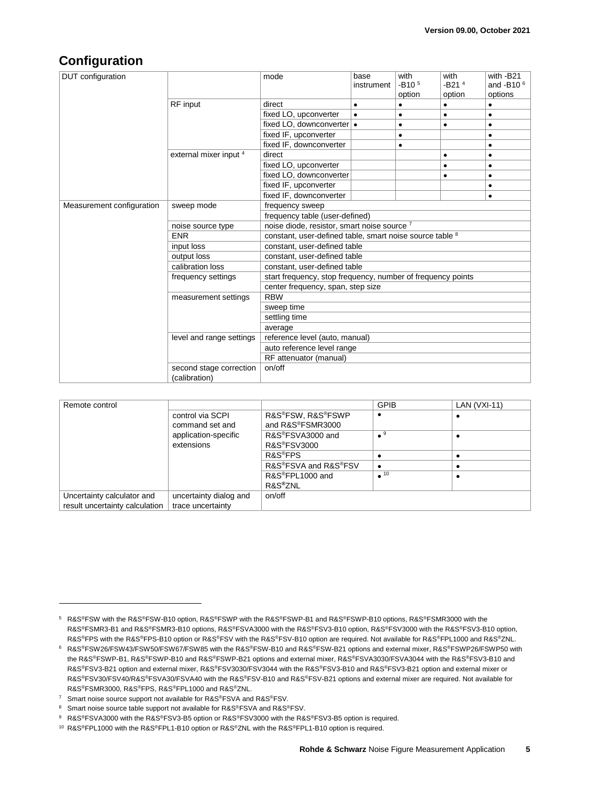#### **Configuration**

| <b>DUT</b> configuration  |                          | mode                                                        | base<br>instrument | with<br>$-B105$<br>option | with<br>$-B214$<br>option | with -B21<br>and -B10 $6$<br>options |
|---------------------------|--------------------------|-------------------------------------------------------------|--------------------|---------------------------|---------------------------|--------------------------------------|
|                           | RF input                 | direct                                                      | $\bullet$          | $\bullet$                 | ٠                         | $\bullet$                            |
|                           |                          | fixed LO, upconverter                                       | $\bullet$          | ٠                         | ٠                         | $\bullet$                            |
|                           |                          | fixed LO, downconverter •                                   |                    | ٠                         | ٠                         | $\bullet$                            |
|                           |                          | fixed IF, upconverter                                       |                    | $\bullet$                 |                           | $\bullet$                            |
|                           |                          | fixed IF, downconverter                                     |                    | $\bullet$                 |                           | $\bullet$                            |
|                           | external mixer input 4   | direct                                                      |                    |                           | ٠                         | $\bullet$                            |
|                           |                          | fixed LO, upconverter                                       |                    |                           | ٠                         | $\bullet$                            |
|                           |                          | fixed LO, downconverter                                     |                    |                           | ٠                         | $\bullet$                            |
|                           |                          | fixed IF, upconverter                                       |                    |                           |                           | ٠                                    |
|                           |                          | fixed IF, downconverter                                     |                    |                           |                           | $\bullet$                            |
| Measurement configuration | sweep mode               | frequency sweep                                             |                    |                           |                           |                                      |
|                           |                          | frequency table (user-defined)                              |                    |                           |                           |                                      |
|                           | noise source type        | noise diode, resistor, smart noise source <sup>7</sup>      |                    |                           |                           |                                      |
|                           | <b>ENR</b>               | constant, user-defined table, smart noise source table 8    |                    |                           |                           |                                      |
|                           | input loss               | constant, user-defined table                                |                    |                           |                           |                                      |
|                           | output loss              | constant, user-defined table                                |                    |                           |                           |                                      |
|                           | calibration loss         | constant, user-defined table                                |                    |                           |                           |                                      |
|                           | frequency settings       | start frequency, stop frequency, number of frequency points |                    |                           |                           |                                      |
|                           |                          | center frequency, span, step size                           |                    |                           |                           |                                      |
|                           | measurement settings     | <b>RBW</b>                                                  |                    |                           |                           |                                      |
|                           |                          | sweep time                                                  |                    |                           |                           |                                      |
|                           |                          | settling time                                               |                    |                           |                           |                                      |
|                           |                          | average                                                     |                    |                           |                           |                                      |
|                           | level and range settings | reference level (auto, manual)                              |                    |                           |                           |                                      |
|                           |                          | auto reference level range                                  |                    |                           |                           |                                      |
|                           |                          | RF attenuator (manual)                                      |                    |                           |                           |                                      |
|                           | second stage correction  | on/off                                                      |                    |                           |                           |                                      |
|                           | (calibration)            |                                                             |                    |                           |                           |                                      |

| Remote control                 |                                     |                                       | <b>GPIB</b>            | LAN $(VXI-11)$ |
|--------------------------------|-------------------------------------|---------------------------------------|------------------------|----------------|
|                                | control via SCPI<br>command set and | R&S®FSW, R&S®FSWP<br>and R&S®FSMR3000 |                        |                |
|                                | application-specific                | R&S <sup>®</sup> FSVA3000 and         | $\bullet$ <sup>9</sup> |                |
|                                | extensions                          | R&S <sup>®</sup> FSV3000              |                        |                |
|                                |                                     | R&S <sup>®</sup> FPS                  |                        |                |
|                                |                                     | R&S®FSVA and R&S®FSV                  |                        |                |
|                                |                                     | R&S®FPL1000 and                       | $\overline{10}$        |                |
|                                |                                     | R&S <sup>®</sup> ZNL                  |                        |                |
| Uncertainty calculator and     | uncertainty dialog and              | on/off                                |                        |                |
| result uncertainty calculation | trace uncertainty                   |                                       |                        |                |

<sup>5</sup> R&S®FSW with the R&S®FSW-B10 option, R&S®FSWP with the R&S®FSWP-B1 and R&S®FSWP-B10 options, R&S®FSMR3000 with the R&S®FSMR3-B1 and R&S®FSMR3-B10 options, R&S®FSVA3000 with the R&S®FSV3-B10 option, R&S®FSV3000 with the R&S®FSV3-B10 option, R&S®FPS with the R&S®FPS-B10 option or R&S®FSV with the R&S®FSV-B10 option are required. Not available for R&S®FPL1000 and R&S®ZNL.

<sup>6</sup> R&S®FSW26/FSW43/FSW50/FSW67/FSW85 with the R&S®FSW-B10 and R&S®FSW-B21 options and external mixer, R&S®FSWP26/FSWP50 with the R&S®FSWP-B1, R&S®FSWP-B10 and R&S®FSWP-B21 options and external mixer, R&S®FSVA3030/FSVA3044 with the R&S®FSV3-B10 and R&S®FSV3-B21 option and external mixer, R&S®FSV3030/FSV3044 with the R&S®FSV3-B10 and R&S®FSV3-B21 option and external mixer or R&S®FSV30/FSV40/R&S®FSVA30/FSVA40 with the R&S®FSV-B10 and R&S®FSV-B21 options and external mixer are required. Not available for R&S®FSMR3000, R&S®FPS, R&S®FPL1000 and R&S®ZNL.

<sup>&</sup>lt;sup>7</sup> Smart noise source support not available for R&S®FSVA and R&S®FSV.

<sup>8</sup> Smart noise source table support not available for R&S®FSVA and R&S®FSV.

<sup>9</sup> R&S®FSVA3000 with the R&S®FSV3-B5 option or R&S®FSV3000 with the R&S®FSV3-B5 option is required.

<sup>&</sup>lt;sup>10</sup> R&S<sup>®</sup>FPL1000 with the R&S<sup>®</sup>FPL1-B10 option or R&S<sup>®</sup>ZNL with the R&S<sup>®</sup>FPL1-B10 option is required.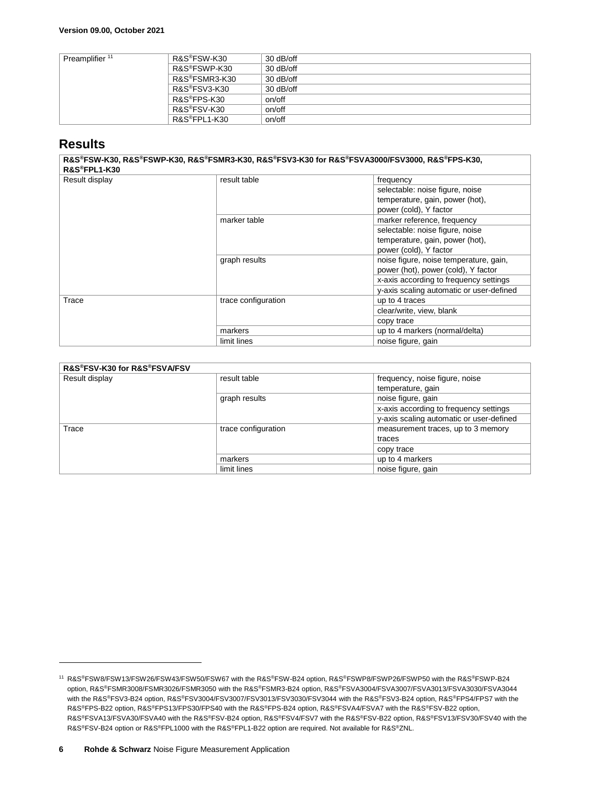| Preamplifier <sup>11</sup> | R&S®FSW-K30                | $30$ dB/off |
|----------------------------|----------------------------|-------------|
|                            | R&S®FSWP-K30               | $30$ dB/off |
|                            | R&S <sup>®</sup> FSMR3-K30 | $30$ dB/off |
|                            | R&S®FSV3-K30               | $30$ dB/off |
|                            | R&S <sup>®</sup> FPS-K30   | on/off      |
|                            | R&S <sup>®</sup> FSV-K30   | on/off      |
|                            | R&S <sup>®</sup> FPL1-K30  | on/off      |

#### **Results**

l

**R&S®FSW-K30, R&S®FSWP-K30, R&S®FSMR3-K30, R&S®FSV3-K30 for R&S®FSVA3000/FSV3000, R&S®FPS-K30, R&S®FPL1-K30**

| טטו־ו⊾וועשוו   |                     |                                          |
|----------------|---------------------|------------------------------------------|
| Result display | result table        | frequency                                |
|                |                     | selectable: noise figure, noise          |
|                |                     | temperature, gain, power (hot),          |
|                |                     | power (cold), Y factor                   |
|                | marker table        | marker reference, frequency              |
|                |                     | selectable: noise figure, noise          |
|                |                     | temperature, gain, power (hot),          |
|                |                     | power (cold), Y factor                   |
|                | graph results       | noise figure, noise temperature, gain,   |
|                |                     | power (hot), power (cold), Y factor      |
|                |                     | x-axis according to frequency settings   |
|                |                     | y-axis scaling automatic or user-defined |
| Trace          | trace configuration | up to 4 traces                           |
|                |                     | clear/write, view, blank                 |
|                |                     | copy trace                               |
|                | markers             | up to 4 markers (normal/delta)           |
|                | limit lines         | noise figure, gain                       |

| R&S®FSV-K30 for R&S®FSVA/FSV |                     |                                                     |  |  |
|------------------------------|---------------------|-----------------------------------------------------|--|--|
| Result display               | result table        | frequency, noise figure, noise<br>temperature, gain |  |  |
|                              | graph results       | noise figure, gain                                  |  |  |
|                              |                     | x-axis according to frequency settings              |  |  |
|                              |                     | y-axis scaling automatic or user-defined            |  |  |
| Trace                        | trace configuration | measurement traces, up to 3 memory                  |  |  |
|                              |                     | traces                                              |  |  |
|                              |                     | copy trace                                          |  |  |
|                              | markers             | up to 4 markers                                     |  |  |
|                              | limit lines         | noise figure, gain                                  |  |  |

<sup>11</sup> R&S®FSW8/FSW13/FSW26/FSW43/FSW50/FSW67 with the R&S®FSW-B24 option, R&S®FSWP8/FSWP26/FSWP50 with the R&S®FSWP-B24 option, R&S®FSMR3008/FSMR3026/FSMR3050 with the R&S®FSMR3-B24 option, R&S®FSVA3004/FSVA3007/FSVA3013/FSVA3030/FSVA3044 with the R&S®FSV3-B24 option, R&S®FSV3004/FSV3007/FSV3013/FSV3030/FSV3044 with the R&S®FSV3-B24 option, R&S®FPS4/FPS7 with the R&S®FPS-B22 option, R&S®FPS13/FPS30/FPS40 with the R&S®FPS-B24 option, R&S®FSVA4/FSVA7 with the R&S®FSV-B22 option, R&S®FSVA13/FSVA30/FSVA40 with the R&S®FSV-B24 option, R&S®FSV4/FSV7 with the R&S®FSV-B22 option, R&S®FSV13/FSV30/FSV40 with the R&S®FSV-B24 option or R&S®FPL1000 with the R&S®FPL1-B22 option are required. Not available for R&S®ZNL.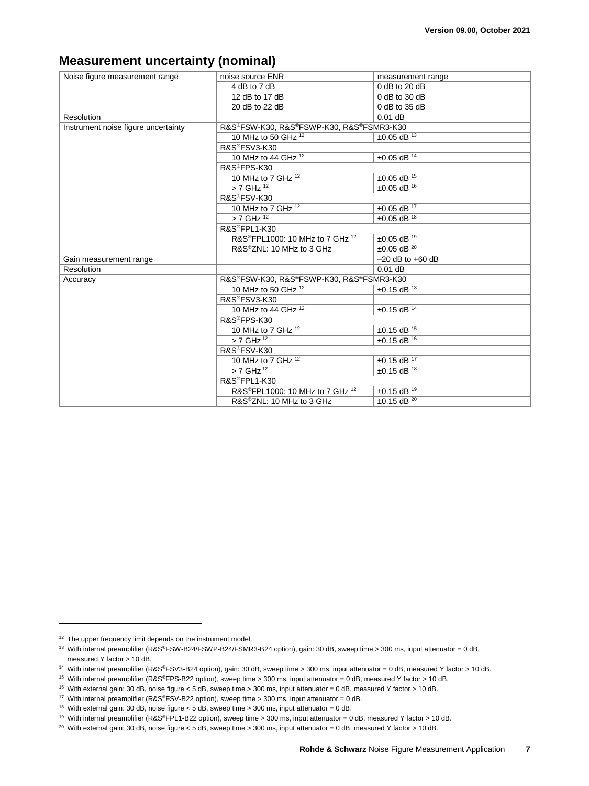#### **Measurement uncertainty (nominal)**

<span id="page-6-8"></span><span id="page-6-7"></span><span id="page-6-6"></span><span id="page-6-5"></span><span id="page-6-4"></span><span id="page-6-3"></span><span id="page-6-2"></span><span id="page-6-1"></span><span id="page-6-0"></span>

| Noise figure measurement range      | noise source ENR                                        | measurement range        |  |
|-------------------------------------|---------------------------------------------------------|--------------------------|--|
|                                     | 4 dB to 7 dB                                            | 0 dB to 20 dB            |  |
|                                     | 12 dB to 17 dB                                          | $0$ dB to 30 dB          |  |
|                                     | 20 dB to 22 dB                                          | $0$ dB to 35 dB          |  |
| Resolution                          |                                                         | $0.01$ dB                |  |
| Instrument noise figure uncertainty | R&S®FSW-K30, R&S®FSWP-K30, R&S®FSMR3-K30                |                          |  |
|                                     | 10 MHz to 50 GHz $^{12}$                                | $±0.05$ dB <sup>13</sup> |  |
|                                     | R&S®FSV3-K30                                            |                          |  |
|                                     | 10 MHz to 44 GHz $12$                                   | $±0.05$ dB <sup>14</sup> |  |
|                                     | R&S®FPS-K30                                             |                          |  |
|                                     | 10 MHz to 7 GHz $12$                                    | $±0.05$ dB <sup>15</sup> |  |
|                                     | $> 7$ GHz $\overline{12}$                               | $±0.05$ dB <sup>16</sup> |  |
|                                     | R&S®FSV-K30                                             |                          |  |
|                                     | 10 MHz to 7 GHz 12                                      | $±0.05$ dB <sup>17</sup> |  |
|                                     | $> 7$ GHz $^{12}$                                       | $±0.05$ dB <sup>18</sup> |  |
|                                     | R&S®FPL1-K30                                            |                          |  |
|                                     | R&S <sup>®</sup> FPL1000: 10 MHz to 7 GHz <sup>12</sup> | $±0.05$ dB <sup>19</sup> |  |
|                                     | R&S®ZNL: 10 MHz to 3 GHz                                | $±0.05$ dB <sup>20</sup> |  |
| Gain measurement range              |                                                         | $-20$ dB to $+60$ dB     |  |
| Resolution                          |                                                         | $0.01$ dB                |  |
| Accuracy                            | R&S®FSW-K30, R&S®FSWP-K30, R&S®FSMR3-K30                |                          |  |
|                                     | 10 MHz to 50 GHz 12                                     | $\pm 0.15$ dB $^{13}$    |  |
|                                     | R&S®FSV3-K30                                            |                          |  |
|                                     | 10 MHz to 44 GHz 12                                     | $±0.15$ dB $14$          |  |
|                                     | R&S®FPS-K30                                             |                          |  |
|                                     | 10 MHz to 7 GHz $12$                                    | $±0.15$ dB $15$          |  |
|                                     | $> 7$ GHz $^{12}$                                       | $±0.15$ dB <sup>16</sup> |  |
|                                     | R&S <sup>®</sup> FSV-K30                                |                          |  |
|                                     | 10 MHz to 7 GHz $12$                                    | $±0.15$ dB <sup>17</sup> |  |
|                                     | $> 7$ GHz <sup>12</sup>                                 | $±0.15$ dB <sup>18</sup> |  |
|                                     | R&S®FPL1-K30                                            |                          |  |
|                                     | R&S <sup>®</sup> FPL1000: 10 MHz to 7 GHz <sup>12</sup> | $±0.15$ dB <sup>19</sup> |  |
|                                     | R&S®ZNL: 10 MHz to 3 GHz                                | $±0.15$ dB <sup>20</sup> |  |

<sup>&</sup>lt;sup>12</sup> The upper frequency limit depends on the instrument model.

<sup>13</sup> With internal preamplifier (R&S®FSW-B24/FSWP-B24/FSMR3-B24 option), gain: 30 dB, sweep time > 300 ms, input attenuator = 0 dB, measured Y factor > 10 dB.

<sup>14</sup> With internal preamplifier (R&S®FSV3-B24 option), gain: 30 dB, sweep time > 300 ms, input attenuator = 0 dB, measured Y factor > 10 dB.

<sup>&</sup>lt;sup>15</sup> With internal preamplifier (R&S<sup>®</sup>FPS-B22 option), sweep time > 300 ms, input attenuator = 0 dB, measured Y factor > 10 dB.

<sup>16</sup> With external gain: 30 dB, noise figure < 5 dB, sweep time > 300 ms, input attenuator = 0 dB, measured Y factor > 10 dB.

<sup>17</sup> With internal preamplifier (R&S®FSV-B22 option), sweep time > 300 ms, input attenuator = 0 dB.

<sup>&</sup>lt;sup>18</sup> With external gain: 30 dB, noise figure < 5 dB, sweep time > 300 ms, input attenuator = 0 dB.

<sup>&</sup>lt;sup>19</sup> With internal preamplifier (R&S®FPL1-B22 option), sweep time > 300 ms, input attenuator = 0 dB, measured Y factor > 10 dB.

<sup>&</sup>lt;sup>20</sup> With external gain: 30 dB, noise figure < 5 dB, sweep time > 300 ms, input attenuator = 0 dB, measured Y factor > 10 dB.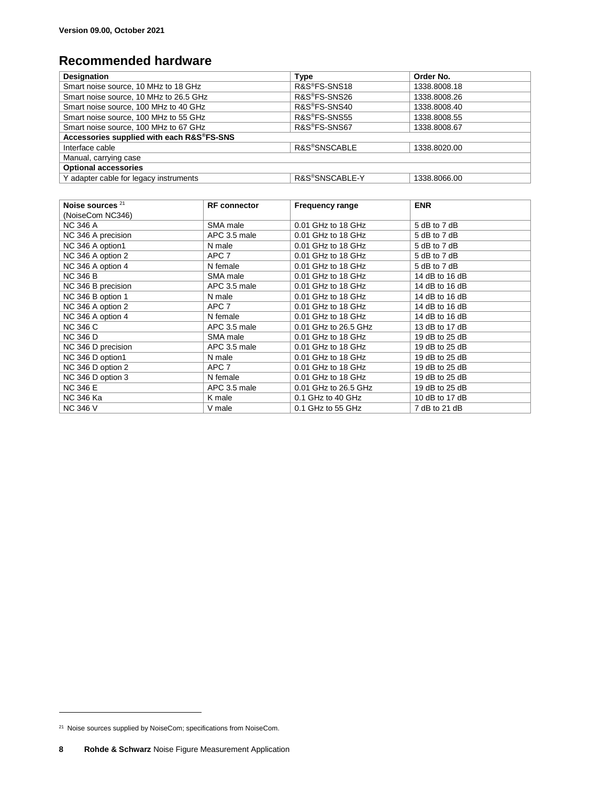## **Recommended hardware**

| <b>Designation</b>                        | <b>Type</b>               | Order No.    |  |  |
|-------------------------------------------|---------------------------|--------------|--|--|
| Smart noise source, 10 MHz to 18 GHz      | R&S <sup>®</sup> FS-SNS18 | 1338.8008.18 |  |  |
| Smart noise source, 10 MHz to 26.5 GHz    | R&S <sup>®</sup> FS-SNS26 | 1338.8008.26 |  |  |
| Smart noise source, 100 MHz to 40 GHz     | R&S®FS-SNS40              | 1338.8008.40 |  |  |
| Smart noise source, 100 MHz to 55 GHz     | R&S®FS-SNS55              | 1338.8008.55 |  |  |
| Smart noise source, 100 MHz to 67 GHz     | R&S®FS-SNS67              | 1338.8008.67 |  |  |
| Accessories supplied with each R&S®FS-SNS |                           |              |  |  |
| Interface cable                           | R&S®SNSCABLE              | 1338.8020.00 |  |  |
| Manual, carrying case                     |                           |              |  |  |
| <b>Optional accessories</b>               |                           |              |  |  |
| Y adapter cable for legacy instruments    | R&S®SNSCABLE-Y            | 1338.8066.00 |  |  |

| Noise sources <sup>21</sup> | <b>RF</b> connector | <b>Frequency range</b> | <b>ENR</b>     |
|-----------------------------|---------------------|------------------------|----------------|
| (NoiseCom NC346)            |                     |                        |                |
| <b>NC 346 A</b>             | SMA male            | 0.01 GHz to 18 GHz     | 5 dB to 7 dB   |
| NC 346 A precision          | APC 3.5 male        | 0.01 GHz to 18 GHz     | 5 dB to 7 dB   |
| NC 346 A option1            | N male              | 0.01 GHz to 18 GHz     | 5 dB to 7 dB   |
| NC 346 A option 2           | APC 7               | 0.01 GHz to 18 GHz     | 5 dB to 7 dB   |
| NC 346 A option 4           | N female            | 0.01 GHz to 18 GHz     | 5 dB to 7 dB   |
| <b>NC 346 B</b>             | SMA male            | 0.01 GHz to 18 GHz     | 14 dB to 16 dB |
| NC 346 B precision          | APC 3.5 male        | 0.01 GHz to 18 GHz     | 14 dB to 16 dB |
| NC 346 B option 1           | N male              | 0.01 GHz to 18 GHz     | 14 dB to 16 dB |
| NC 346 A option 2           | APC 7               | 0.01 GHz to 18 GHz     | 14 dB to 16 dB |
| NC 346 A option 4           | N female            | 0.01 GHz to 18 GHz     | 14 dB to 16 dB |
| <b>NC 346 C</b>             | APC 3.5 male        | 0.01 GHz to 26.5 GHz   | 13 dB to 17 dB |
| <b>NC 346 D</b>             | SMA male            | 0.01 GHz to 18 GHz     | 19 dB to 25 dB |
| NC 346 D precision          | APC 3.5 male        | 0.01 GHz to 18 GHz     | 19 dB to 25 dB |
| NC 346 D option1            | N male              | 0.01 GHz to 18 GHz     | 19 dB to 25 dB |
| NC 346 D option 2           | APC 7               | 0.01 GHz to 18 GHz     | 19 dB to 25 dB |
| NC 346 D option 3           | N female            | 0.01 GHz to 18 GHz     | 19 dB to 25 dB |
| <b>NC 346 E</b>             | APC 3.5 male        | 0.01 GHz to 26.5 GHz   | 19 dB to 25 dB |
| <b>NC 346 Ka</b>            | K male              | 0.1 GHz to 40 GHz      | 10 dB to 17 dB |
| <b>NC 346 V</b>             | V male              | 0.1 GHz to 55 GHz      | 7 dB to 21 dB  |

<sup>&</sup>lt;sup>21</sup> Noise sources supplied by NoiseCom; specifications from NoiseCom.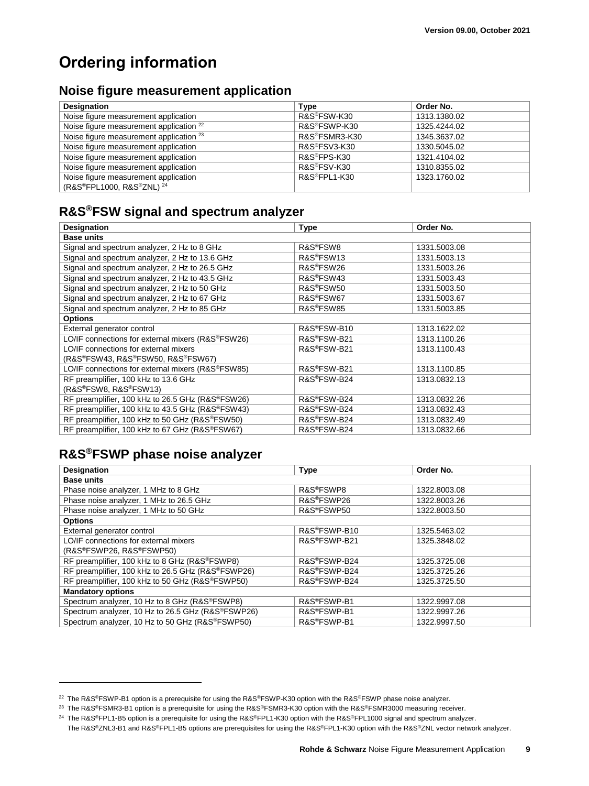## **Ordering information**

#### **Noise figure measurement application**

| <b>Designation</b>                                 | Type                      | Order No.    |
|----------------------------------------------------|---------------------------|--------------|
| Noise figure measurement application               | R&S <sup>®</sup> FSW-K30  | 1313.1380.02 |
| Noise figure measurement application <sup>22</sup> | R&S®FSWP-K30              | 1325.4244.02 |
| Noise figure measurement application <sup>23</sup> | R&S®FSMR3-K30             | 1345.3637.02 |
| Noise figure measurement application               | R&S®FSV3-K30              | 1330.5045.02 |
| Noise figure measurement application               | R&S <sup>®</sup> FPS-K30  | 1321.4104.02 |
| Noise figure measurement application               | R&S <sup>®</sup> FSV-K30  | 1310.8355.02 |
| Noise figure measurement application               | R&S <sup>®</sup> FPL1-K30 | 1323.1760.02 |
| (R&S®FPL1000, R&S®ZNL) <sup>24</sup>               |                           |              |

#### **R&S®FSW signal and spectrum analyzer**

| <b>Designation</b>                                | <b>Type</b>              | Order No.    |  |  |  |
|---------------------------------------------------|--------------------------|--------------|--|--|--|
| <b>Base units</b>                                 |                          |              |  |  |  |
| Signal and spectrum analyzer, 2 Hz to 8 GHz       | R&S®FSW8                 | 1331.5003.08 |  |  |  |
| Signal and spectrum analyzer, 2 Hz to 13.6 GHz    | R&S <sup>®</sup> FSW13   | 1331.5003.13 |  |  |  |
| Signal and spectrum analyzer, 2 Hz to 26.5 GHz    | R&S®FSW26                | 1331.5003.26 |  |  |  |
| Signal and spectrum analyzer, 2 Hz to 43.5 GHz    | R&S <sup>®</sup> FSW43   | 1331.5003.43 |  |  |  |
| Signal and spectrum analyzer, 2 Hz to 50 GHz      | R&S <sup>®</sup> FSW50   | 1331.5003.50 |  |  |  |
| Signal and spectrum analyzer, 2 Hz to 67 GHz      | R&S <sup>®</sup> FSW67   | 1331.5003.67 |  |  |  |
| Signal and spectrum analyzer, 2 Hz to 85 GHz      | R&S®FSW85                | 1331.5003.85 |  |  |  |
| <b>Options</b>                                    |                          |              |  |  |  |
| External generator control                        | R&S <sup>®</sup> FSW-B10 | 1313.1622.02 |  |  |  |
| LO/IF connections for external mixers (R&S®FSW26) | R&S <sup>®</sup> FSW-B21 | 1313.1100.26 |  |  |  |
| LO/IF connections for external mixers             | R&S®FSW-B21              | 1313.1100.43 |  |  |  |
| (R&S®FSW43, R&S®FSW50, R&S®FSW67)                 |                          |              |  |  |  |
| LO/IF connections for external mixers (R&S®FSW85) | R&S®FSW-B21              | 1313.1100.85 |  |  |  |
| RF preamplifier, 100 kHz to 13.6 GHz              | R&S®FSW-B24              | 1313.0832.13 |  |  |  |
| (R&S®FSW8, R&S®FSW13)                             |                          |              |  |  |  |
| RF preamplifier, 100 kHz to 26.5 GHz (R&S®FSW26)  | R&S®FSW-B24              | 1313.0832.26 |  |  |  |
| RF preamplifier, 100 kHz to 43.5 GHz (R&S®FSW43)  | R&S®FSW-B24              | 1313.0832.43 |  |  |  |
| RF preamplifier, 100 kHz to 50 GHz (R&S®FSW50)    | R&S®FSW-B24              | 1313.0832.49 |  |  |  |
| RF preamplifier, 100 kHz to 67 GHz (R&S®FSW67)    | R&S <sup>®</sup> FSW-B24 | 1313.0832.66 |  |  |  |

## **R&S®FSWP phase noise analyzer**

| <b>Designation</b>                                             | <b>Type</b>               | Order No.    |
|----------------------------------------------------------------|---------------------------|--------------|
| <b>Base units</b>                                              |                           |              |
| Phase noise analyzer, 1 MHz to 8 GHz                           | R&S <sup>®</sup> FSWP8    | 1322.8003.08 |
| Phase noise analyzer, 1 MHz to 26.5 GHz                        | R&S <sup>®</sup> FSWP26   | 1322.8003.26 |
| Phase noise analyzer, 1 MHz to 50 GHz                          | R&S <sup>®</sup> FSWP50   | 1322.8003.50 |
| <b>Options</b>                                                 |                           |              |
| External generator control                                     | R&S®FSWP-B10              | 1325.5463.02 |
| LO/IF connections for external mixers                          | R&S <sup>®</sup> FSWP-B21 | 1325.3848.02 |
| (R&S®FSWP26, R&S®FSWP50)                                       |                           |              |
| RF preamplifier, 100 kHz to 8 GHz (R&S®FSWP8)                  | R&S®FSWP-B24              | 1325.3725.08 |
| RF preamplifier, 100 kHz to 26.5 GHz (R&S <sup>®</sup> FSWP26) | R&S®FSWP-B24              | 1325.3725.26 |
| RF preamplifier, 100 kHz to 50 GHz (R&S®FSWP50)                | R&S®FSWP-B24              | 1325.3725.50 |
| <b>Mandatory options</b>                                       |                           |              |
| Spectrum analyzer, 10 Hz to 8 GHz (R&S®FSWP8)                  | R&S®FSWP-B1               | 1322.9997.08 |
| Spectrum analyzer, 10 Hz to 26.5 GHz (R&S®FSWP26)              | R&S <sup>®</sup> FSWP-B1  | 1322.9997.26 |
| Spectrum analyzer, 10 Hz to 50 GHz (R&S®FSWP50)                | R&S <sup>®</sup> FSWP-B1  | 1322.9997.50 |

<sup>22</sup> The R&S®FSWP-B1 option is a prerequisite for using the R&S®FSWP-K30 option with the R&S®FSWP phase noise analyzer.

<sup>23</sup> The R&S®FSMR3-B1 option is a prerequisite for using the R&S®FSMR3-K30 option with the R&S®FSMR3000 measuring receiver.

<sup>&</sup>lt;sup>24</sup> The R&S®FPL1-B5 option is a prerequisite for using the R&S®FPL1-K30 option with the R&S®FPL1000 signal and spectrum analyzer.

The R&S®ZNL3-B1 and R&S®FPL1-B5 options are prerequisites for using the R&S®FPL1-K30 option with the R&S®ZNL vector network analyzer.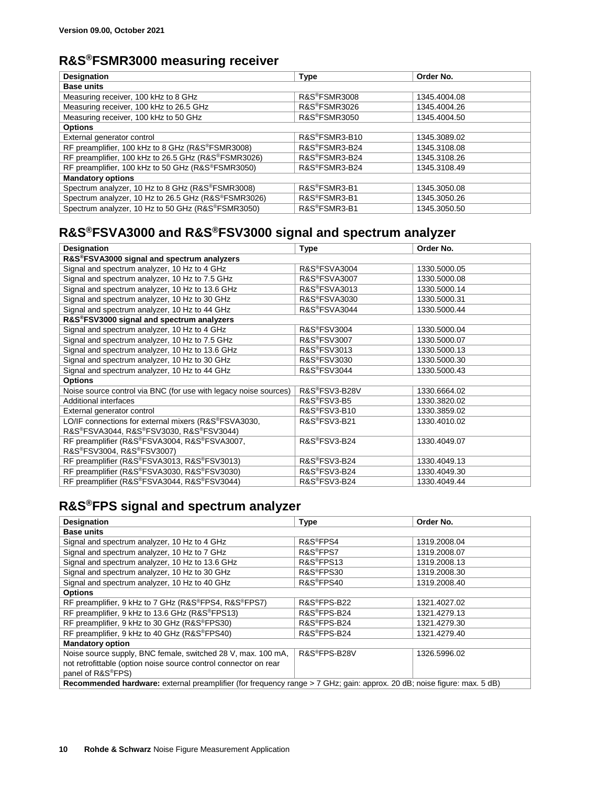#### **R&S®FSMR3000 measuring receiver**

| <b>Designation</b>                                  | <b>Type</b>               | Order No.    |
|-----------------------------------------------------|---------------------------|--------------|
| <b>Base units</b>                                   |                           |              |
| Measuring receiver, 100 kHz to 8 GHz                | R&S®FSMR3008              | 1345.4004.08 |
| Measuring receiver, 100 kHz to 26.5 GHz             | R&S®FSMR3026              | 1345.4004.26 |
| Measuring receiver, 100 kHz to 50 GHz               | R&S®FSMR3050              | 1345.4004.50 |
| <b>Options</b>                                      |                           |              |
| External generator control                          | R&S®FSMR3-B10             | 1345.3089.02 |
| RF preamplifier, 100 kHz to 8 GHz (R&S®FSMR3008)    | R&S®FSMR3-B24             | 1345.3108.08 |
| RF preamplifier, 100 kHz to 26.5 GHz (R&S®FSMR3026) | R&S®FSMR3-B24             | 1345.3108.26 |
| RF preamplifier, 100 kHz to 50 GHz (R&S®FSMR3050)   | R&S®FSMR3-B24             | 1345.3108.49 |
| <b>Mandatory options</b>                            |                           |              |
| Spectrum analyzer, 10 Hz to 8 GHz (R&S®FSMR3008)    | R&S®FSMR3-B1              | 1345.3050.08 |
| Spectrum analyzer, 10 Hz to 26.5 GHz (R&S®FSMR3026) | R&S <sup>®</sup> FSMR3-B1 | 1345.3050.26 |
| Spectrum analyzer, 10 Hz to 50 GHz (R&S®FSMR3050)   | R&S®FSMR3-B1              | 1345.3050.50 |

## **R&S®FSVA3000 and R&S®FSV3000 signal and spectrum analyzer**

| <b>Designation</b>                                               | <b>Type</b>               | Order No.    |  |
|------------------------------------------------------------------|---------------------------|--------------|--|
| R&S®FSVA3000 signal and spectrum analyzers                       |                           |              |  |
| Signal and spectrum analyzer, 10 Hz to 4 GHz                     | R&S®FSVA3004              | 1330.5000.05 |  |
| Signal and spectrum analyzer, 10 Hz to 7.5 GHz                   | R&S®FSVA3007              | 1330.5000.08 |  |
| Signal and spectrum analyzer, 10 Hz to 13.6 GHz                  | R&S <sup>®</sup> FSVA3013 | 1330.5000.14 |  |
| Signal and spectrum analyzer, 10 Hz to 30 GHz                    | <b>R&amp;S®FSVA3030</b>   | 1330.5000.31 |  |
| Signal and spectrum analyzer, 10 Hz to 44 GHz                    | R&S®FSVA3044              | 1330.5000.44 |  |
| R&S®FSV3000 signal and spectrum analyzers                        |                           |              |  |
| Signal and spectrum analyzer, 10 Hz to 4 GHz                     | <b>R&amp;S®FSV3004</b>    | 1330.5000.04 |  |
| Signal and spectrum analyzer, 10 Hz to 7.5 GHz                   | <b>R&amp;S®FSV3007</b>    | 1330.5000.07 |  |
| Signal and spectrum analyzer, 10 Hz to 13.6 GHz                  | R&S®FSV3013               | 1330.5000.13 |  |
| Signal and spectrum analyzer, 10 Hz to 30 GHz                    | R&S <sup>®</sup> FSV3030  | 1330.5000.30 |  |
| Signal and spectrum analyzer, 10 Hz to 44 GHz                    | <b>R&amp;S®FSV3044</b>    | 1330.5000.43 |  |
| <b>Options</b>                                                   |                           |              |  |
| Noise source control via BNC (for use with legacy noise sources) | R&S®FSV3-B28V             | 1330.6664.02 |  |
| Additional interfaces                                            | R&S®FSV3-B5               | 1330.3820.02 |  |
| External generator control                                       | R&S®FSV3-B10              | 1330.3859.02 |  |
| LO/IF connections for external mixers (R&S®FSVA3030,             | R&S®FSV3-B21              | 1330.4010.02 |  |
| R&S®FSVA3044, R&S®FSV3030, R&S®FSV3044)                          |                           |              |  |
| RF preamplifier (R&S®FSVA3004, R&S®FSVA3007,                     | R&S®FSV3-B24              | 1330.4049.07 |  |
| R&S®FSV3004, R&S®FSV3007)                                        |                           |              |  |
| RF preamplifier (R&S®FSVA3013, R&S®FSV3013)                      | R&S®FSV3-B24              | 1330.4049.13 |  |
| RF preamplifier (R&S®FSVA3030, R&S®FSV3030)                      | R&S®FSV3-B24              | 1330.4049.30 |  |
| RF preamplifier (R&S®FSVA3044, R&S®FSV3044)                      | R&S®FSV3-B24              | 1330.4049.44 |  |

## **R&S®FPS signal and spectrum analyzer**

| <b>Designation</b>                                                                                                      | <b>Type</b>              | Order No.    |
|-------------------------------------------------------------------------------------------------------------------------|--------------------------|--------------|
| <b>Base units</b>                                                                                                       |                          |              |
| Signal and spectrum analyzer, 10 Hz to 4 GHz                                                                            | R&S <sup>®</sup> FPS4    | 1319.2008.04 |
| Signal and spectrum analyzer, 10 Hz to 7 GHz                                                                            | R&S <sup>®</sup> FPS7    | 1319.2008.07 |
| Signal and spectrum analyzer, 10 Hz to 13.6 GHz                                                                         | R&S <sup>®</sup> FPS13   | 1319.2008.13 |
| Signal and spectrum analyzer, 10 Hz to 30 GHz                                                                           | R&S <sup>®</sup> FPS30   | 1319.2008.30 |
| Signal and spectrum analyzer, 10 Hz to 40 GHz                                                                           | R&S <sup>®</sup> FPS40   | 1319.2008.40 |
| <b>Options</b>                                                                                                          |                          |              |
| RF preamplifier, 9 kHz to 7 GHz (R&S®FPS4, R&S®FPS7)                                                                    | R&S®FPS-B22              | 1321.4027.02 |
| RF preamplifier, 9 kHz to 13.6 GHz (R&S <sup>®</sup> FPS13)                                                             | R&S <sup>®</sup> FPS-B24 | 1321.4279.13 |
| RF preamplifier, 9 kHz to 30 GHz (R&S <sup>®</sup> FPS30)                                                               | R&S®FPS-B24              | 1321.4279.30 |
| RF preamplifier, 9 kHz to 40 GHz (R&S <sup>®</sup> FPS40)                                                               | R&S <sup>®</sup> FPS-B24 | 1321.4279.40 |
| <b>Mandatory option</b>                                                                                                 |                          |              |
| Noise source supply, BNC female, switched 28 V, max. 100 mA,                                                            | R&S®FPS-B28V             | 1326.5996.02 |
| not retrofittable (option noise source control connector on rear                                                        |                          |              |
| panel of R&S <sup>®</sup> FPS)                                                                                          |                          |              |
| Recommended hardware: external preamplifier (for frequency range > 7 GHz; gain: approx. 20 dB; noise figure: max. 5 dB) |                          |              |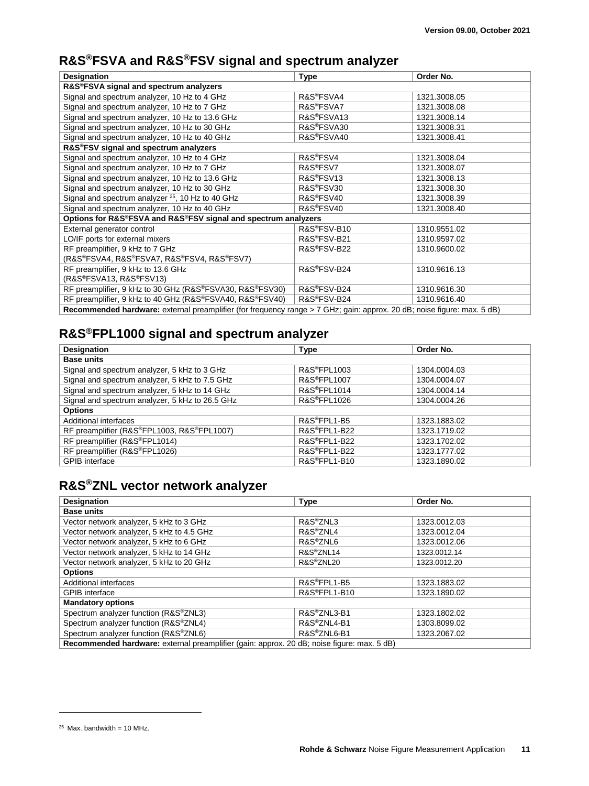## **R&S®FSVA and R&S®FSV signal and spectrum analyzer**

| <b>Designation</b>                                                                                                      | <b>Type</b>             | Order No.    |
|-------------------------------------------------------------------------------------------------------------------------|-------------------------|--------------|
| R&S®FSVA signal and spectrum analyzers                                                                                  |                         |              |
| Signal and spectrum analyzer, 10 Hz to 4 GHz                                                                            | R&S <sup>®</sup> FSVA4  | 1321.3008.05 |
| Signal and spectrum analyzer, 10 Hz to 7 GHz                                                                            | R&S <sup>®</sup> FSVA7  | 1321.3008.08 |
| Signal and spectrum analyzer, 10 Hz to 13.6 GHz                                                                         | R&S <sup>®</sup> FSVA13 | 1321.3008.14 |
| Signal and spectrum analyzer, 10 Hz to 30 GHz                                                                           | R&S®FSVA30              | 1321.3008.31 |
| Signal and spectrum analyzer, 10 Hz to 40 GHz                                                                           | R&S <sup>®</sup> FSVA40 | 1321.3008.41 |
| R&S®FSV signal and spectrum analyzers                                                                                   |                         |              |
| Signal and spectrum analyzer, 10 Hz to 4 GHz                                                                            | R&S <sup>®</sup> FSV4   | 1321.3008.04 |
| Signal and spectrum analyzer, 10 Hz to 7 GHz                                                                            | R&S <sup>®</sup> FSV7   | 1321.3008.07 |
| Signal and spectrum analyzer, 10 Hz to 13.6 GHz                                                                         | R&S <sup>®</sup> FSV13  | 1321.3008.13 |
| Signal and spectrum analyzer, 10 Hz to 30 GHz                                                                           | R&S <sup>®</sup> FSV30  | 1321.3008.30 |
| Signal and spectrum analyzer <sup>25</sup> , 10 Hz to 40 GHz                                                            | R&S <sup>®</sup> FSV40  | 1321.3008.39 |
| Signal and spectrum analyzer, 10 Hz to 40 GHz                                                                           | R&S <sup>®</sup> FSV40  | 1321.3008.40 |
| Options for R&S®FSVA and R&S®FSV signal and spectrum analyzers                                                          |                         |              |
| External generator control                                                                                              | R&S®FSV-B10             | 1310.9551.02 |
| LO/IF ports for external mixers                                                                                         | R&S®FSV-B21             | 1310.9597.02 |
| RF preamplifier, 9 kHz to 7 GHz                                                                                         | R&S®FSV-B22             | 1310.9600.02 |
| (R&S®FSVA4, R&S®FSVA7, R&S®FSV4, R&S®FSV7)                                                                              |                         |              |
| RF preamplifier, 9 kHz to 13.6 GHz                                                                                      | R&S®FSV-B24             | 1310.9616.13 |
| $(R\&S^{\circ}FSVA13, R\&S^{\circ}FSV13)$                                                                               |                         |              |
| RF preamplifier, 9 kHz to 30 GHz (R&S®FSVA30, R&S®FSV30)                                                                | R&S®FSV-B24             | 1310.9616.30 |
| RF preamplifier, 9 kHz to 40 GHz (R&S®FSVA40, R&S®FSV40)                                                                | R&S®FSV-B24             | 1310.9616.40 |
| Recommended hardware: external preamplifier (for frequency range > 7 GHz; gain: approx. 20 dB; noise figure: max. 5 dB) |                         |              |

## **R&S®FPL1000 signal and spectrum analyzer**

| <b>Designation</b>                              | <b>Type</b>               | Order No.    |
|-------------------------------------------------|---------------------------|--------------|
| <b>Base units</b>                               |                           |              |
| Signal and spectrum analyzer, 5 kHz to 3 GHz    | R&S <sup>®</sup> FPL1003  | 1304.0004.03 |
| Signal and spectrum analyzer, 5 kHz to 7.5 GHz  | <b>R&amp;S®FPL1007</b>    | 1304.0004.07 |
| Signal and spectrum analyzer, 5 kHz to 14 GHz   | R&S <sup>®</sup> FPL1014  | 1304.0004.14 |
| Signal and spectrum analyzer, 5 kHz to 26.5 GHz | R&S <sup>®</sup> FPL1026  | 1304.0004.26 |
| <b>Options</b>                                  |                           |              |
| Additional interfaces                           | R&S <sup>®</sup> FPL1-B5  | 1323.1883.02 |
| RF preamplifier (R&S®FPL1003, R&S®FPL1007)      | R&S <sup>®</sup> FPL1-B22 | 1323.1719.02 |
| RF preamplifier (R&S®FPL1014)                   | R&S®FPL1-B22              | 1323.1702.02 |
| RF preamplifier (R&S®FPL1026)                   | R&S <sup>®</sup> FPL1-B22 | 1323.1777.02 |
| <b>GPIB</b> interface                           | R&S <sup>®</sup> FPL1-B10 | 1323.1890.02 |

#### **R&S®ZNL vector network analyzer**

| <b>Designation</b>                                                                         | <b>Type</b>              | Order No.    |
|--------------------------------------------------------------------------------------------|--------------------------|--------------|
| <b>Base units</b>                                                                          |                          |              |
| Vector network analyzer, 5 kHz to 3 GHz                                                    | R&S <sup>®</sup> ZNL3    | 1323.0012.03 |
| Vector network analyzer, 5 kHz to 4.5 GHz                                                  | R&S <sup>®</sup> ZNL4    | 1323.0012.04 |
| Vector network analyzer, 5 kHz to 6 GHz                                                    | R&S <sup>®</sup> ZNL6    | 1323.0012.06 |
| Vector network analyzer, 5 kHz to 14 GHz                                                   | R&S <sup>®</sup> ZNL14   | 1323.0012.14 |
| Vector network analyzer, 5 kHz to 20 GHz                                                   | R&S <sup>®</sup> ZNL20   | 1323.0012.20 |
| <b>Options</b>                                                                             |                          |              |
| Additional interfaces                                                                      | R&S <sup>®</sup> FPL1-B5 | 1323.1883.02 |
| <b>GPIB</b> interface                                                                      | R&S®FPL1-B10             | 1323.1890.02 |
| <b>Mandatory options</b>                                                                   |                          |              |
| Spectrum analyzer function (R&S®ZNL3)                                                      | R&S <sup>®</sup> ZNL3-B1 | 1323.1802.02 |
| Spectrum analyzer function (R&S®ZNL4)                                                      | R&S®ZNL4-B1              | 1303.8099.02 |
| Spectrum analyzer function (R&S®ZNL6)                                                      | R&S®ZNL6-B1              | 1323.2067.02 |
| Recommended hardware: external preamplifier (gain: approx. 20 dB; noise figure: max. 5 dB) |                          |              |

 $25$  Max. bandwidth = 10 MHz.